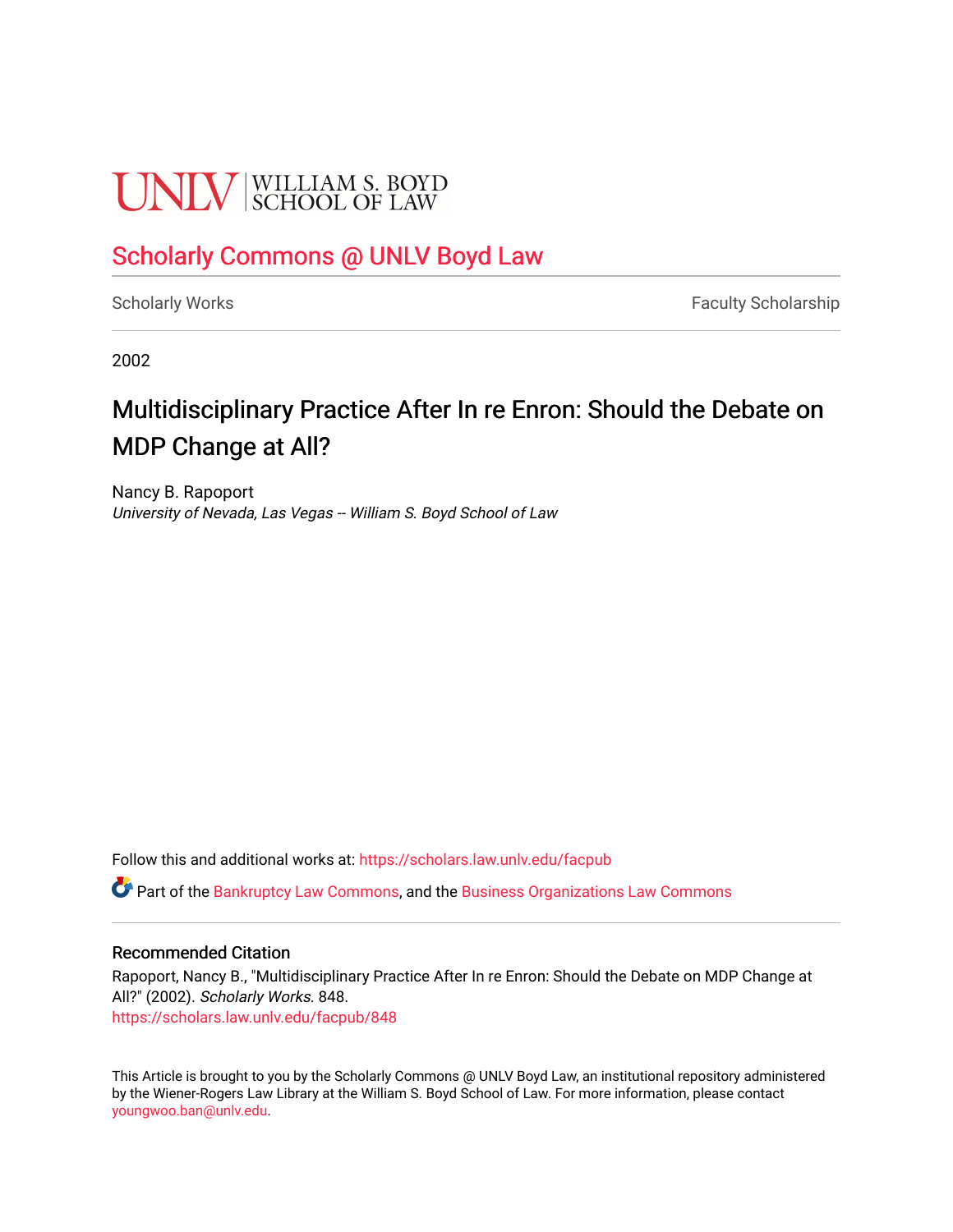# **UNIV** SCHOOL OF LAW

## [Scholarly Commons @ UNLV Boyd Law](https://scholars.law.unlv.edu/)

[Scholarly Works](https://scholars.law.unlv.edu/facpub) **Faculty Scholarship** Faculty Scholarship

2002

# Multidisciplinary Practice After In re Enron: Should the Debate on MDP Change at All?

Nancy B. Rapoport University of Nevada, Las Vegas -- William S. Boyd School of Law

Follow this and additional works at: [https://scholars.law.unlv.edu/facpub](https://scholars.law.unlv.edu/facpub?utm_source=scholars.law.unlv.edu%2Ffacpub%2F848&utm_medium=PDF&utm_campaign=PDFCoverPages)

**C** Part of the [Bankruptcy Law Commons,](http://network.bepress.com/hgg/discipline/583?utm_source=scholars.law.unlv.edu%2Ffacpub%2F848&utm_medium=PDF&utm_campaign=PDFCoverPages) and the Business Organizations Law Commons

### Recommended Citation

Rapoport, Nancy B., "Multidisciplinary Practice After In re Enron: Should the Debate on MDP Change at All?" (2002). Scholarly Works. 848. [https://scholars.law.unlv.edu/facpub/848](https://scholars.law.unlv.edu/facpub/848?utm_source=scholars.law.unlv.edu%2Ffacpub%2F848&utm_medium=PDF&utm_campaign=PDFCoverPages)

This Article is brought to you by the Scholarly Commons @ UNLV Boyd Law, an institutional repository administered by the Wiener-Rogers Law Library at the William S. Boyd School of Law. For more information, please contact [youngwoo.ban@unlv.edu.](mailto:youngwoo.ban@unlv.edu)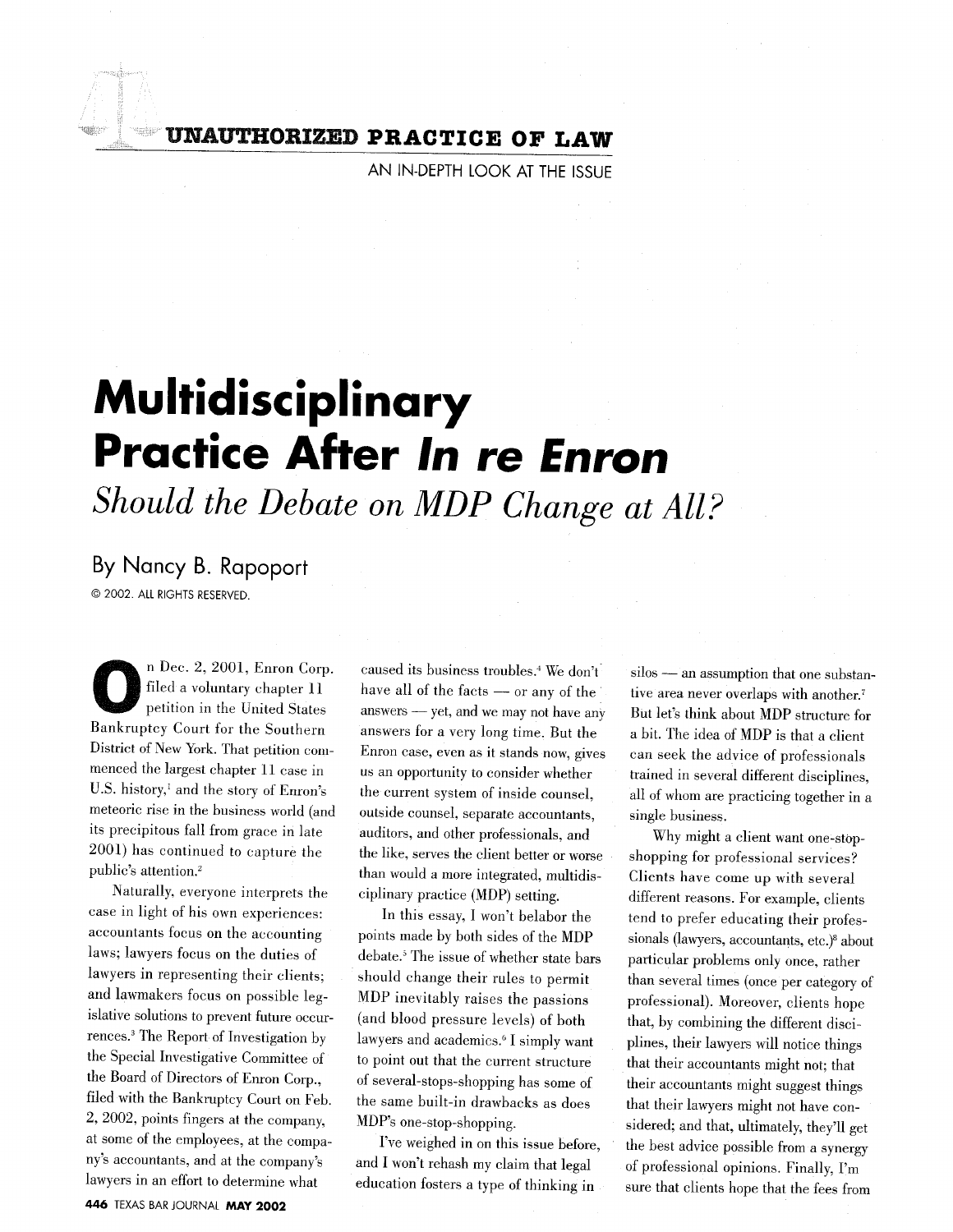**UNAUTHORIZED PRACTICE OF LAW**

**AN IN-DEPTH** LOOK **AT** THE **ISSUE**

# **Multidisciplinary Practice After In re Enron**

*Should the Debate on MDP Change at All?*

## **By** Nancy B. Rapoport

© 2002. ALL RIGHTS RESERVED.

**O** n Dec. 2, 2001, Enron Corp. filed a voluntary chapter 11 petition in the United States Bankruptcy Court for the Southern District of New York. That petition commenced the largest chapter 11 case in U.S. history,' and the story of Enron's meteoric rise in the business world (and its precipitous fall from grace in late 2001) has continued to capture the public's attention.2

Naturally, everyone interprets the case in light of his own experiences: accountants focus on the accounting laws; lawyers focus on the duties of lawyers in representing their clients; and lawmakers focus on possible legislative solutions to prevent future occurrences.' The Report of Investigation by the Special Investigative Committee of the Board of Directors of Enron Corp., filed with the Bankruptcy Court on Feb. 2, 2002, points fingers at the company, at some of the employees, at the company's accountants, and at the company's lawyers in an effort to determine what

caused its business troubles.<sup>4</sup> We don't have all of the facts - or any of the answers - yet, and we may not have any answers for a very long time. But the Enron case, even as it stands now, gives us an opportunity to consider whether the current system of inside counsel, outside counsel, separate accountants, auditors, and other professionals, and the like, serves the client better or worse than would a more integrated, multidisciplinary practice (MDP) setting.

In this essay, I won't belabor the points made by both sides of the MDP debate.<sup>5</sup> The issue of whether state bars should change their rules to permit MDP inevitably raises the passions (and blood pressure levels) of both lawyers and academics.' **I** simply want to point out that the current structure of several-stops-shopping has some of the same built-in drawbacks as does MDP's one-stop-shopping.

I've weighed in on this issue before, and I won't rehash my claim that legal education fosters a type of thinking in

silos **-** an assumption that one substantive area never overlaps with another. But let's think about MDP structure for a bit. The idea of MDP is that a client can seek the advice of professionals trained in several different disciplines, all of whom are practicing together in a single business.

Why might a client want one-stopshopping for professional services? Clients have come up with several different reasons. For example, clients tend to prefer educating their professionals (lawyers, accountants, etc.)<sup>8</sup> about particular problems only once, rather than several times (once per category of professional). Moreover, clients hope that, by combining the different disciplines, their lawyers will notice things that their accountants might not; that their accountants might suggest things that their lawyers might not have considered; and that, ultimately, they'll get the best advice possible from a synergy of professional opinions. Finally, I'm sure that clients hope that the fees from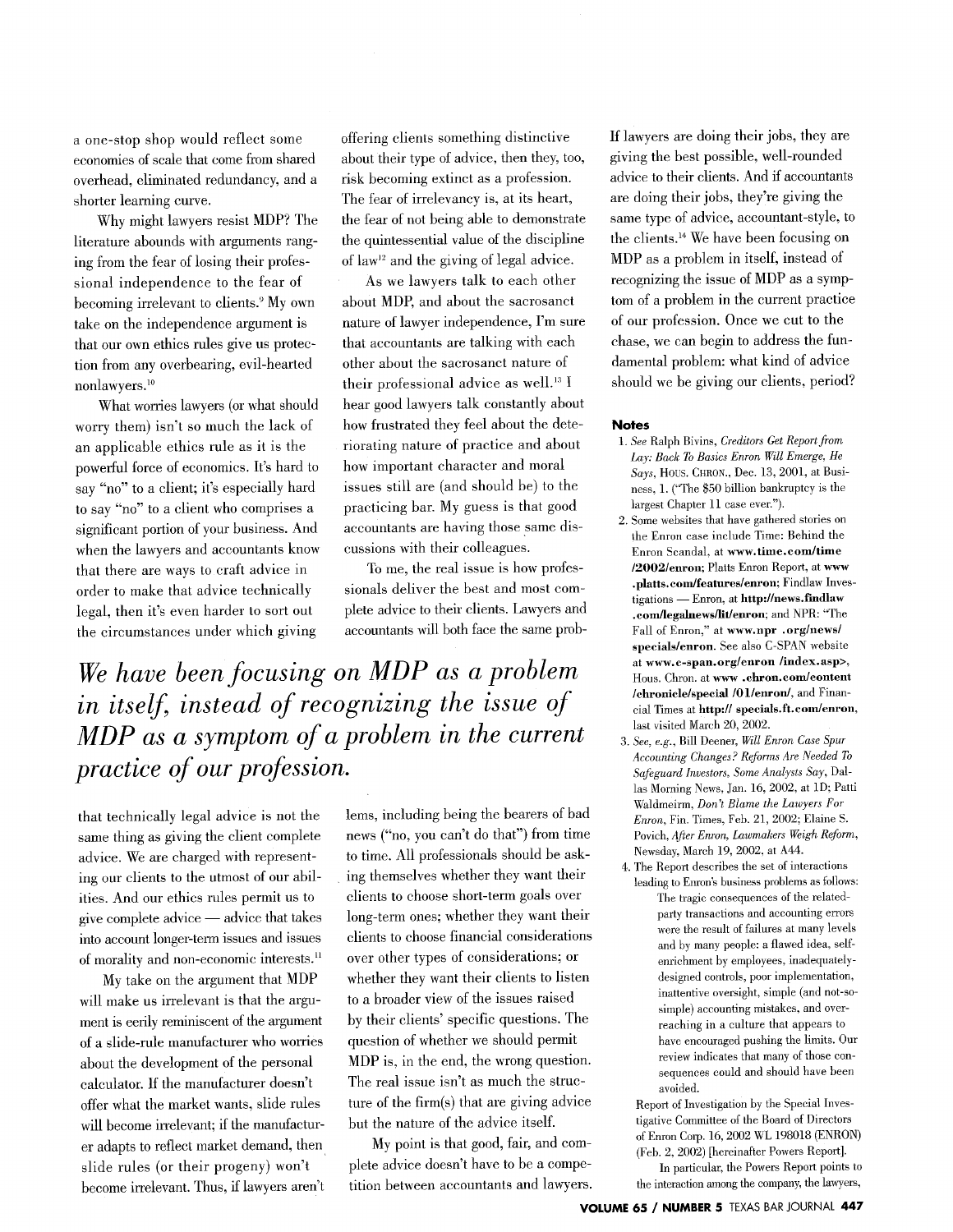a one-stop shop would reflect some economies of scale that come from shared overhead, eliminated redundancy, and a shorter learning curve.

Why might lawyers resist MDP? The literature abounds with arguments ranging from the fear of losing their professional independence to the fear of becoming irrelevant to clients.9 My own take on the independence argument is that our own ethics rules give us protection from any overbearing, evil-hearted nonlawyers.<sup>10</sup>

What worries lawyers (or what should worry them) isn't so much the lack of an applicable ethics rule as it is the powerful force of economics. It's hard to say "no" to a client; it's especially hard to say "no" to a client who comprises a significant portion of your business. And when the lawyers and accountants know that there are ways to craft advice in order to make that advice technically legal, then it's even harder to sort out the circumstances under which giving

offering clients something distinctive about their type of advice, then they, too, risk becoming extinct as a profession. The fear of irrelevancy is, at its heart, the fear of not being able to demonstrate the quintessential value of the discipline of law<sup>12</sup> and the giving of legal advice.

As we lawyers talk to each other about MDP, and about the sacrosanct nature of lawyer independence, I'm sure that accountants are talking with each other about the sacrosanct nature of their professional advice as well.<sup>13</sup> I hear good lawyers talk constantly about how frustrated they feel about the deteriorating nature of practice and about how important character and moral issues still are (and should be) to the practicing bar. My guess is that good accountants are having those same discussions with their colleagues.

To me, the real issue is how professionals deliver the best and most complete advice to their clients. Lawyers and accountants will both face the same prob-

*We have been focusing on MDP as a problem in itself, instead of recognizing the issue of MDP as a symptom of a problem in the current practice of our profession.*

that technically legal advice is not the same thing as giving the client complete advice. We are charged with representing our clients to the utmost of our abilities. And our ethics rules permit us to give complete advice **-** advice that takes into account longer-term issues and issues of morality and non-economic interests.<sup>11</sup>

My take on the argument that MDP will make us irrelevant is that the argument is eerily reminiscent of the argument of a slide-rule manufacturer who worries about the development of the personal calculator. If the manufacturer doesn't offer what the market wants, slide rules will become irrelevant; if the manufacturer adapts to reflect market demand, then slide rules (or their progeny) won't become irrelevant. Thus, if lawyers aren't lems, including being the bearers of bad news ("no, you can't do that") from time to time. All professionals should be asking themselves whether they want their clients to choose short-term goals over long-term ones; whether they want their clients to choose financial considerations over other types of considerations; or whether they want their clients to listen to a broader view of the issues raised by their clients' specific questions. The question of whether we should permit MDP is, in the end, the wrong question. The real issue isn't as much the structure of the firm(s) that are giving advice but the nature of the advice itself.

My point is that good, fair, and complete advice doesn't have to be a competition between accountants and lawyers. If lawyers are doing their jobs, they are giving the best possible, well-rounded advice to their clients. And if accountants are doing their jobs, they're giving the same type of advice, accountant-style, to the clients. 14 We have been focusing on MDP as a problem in itself, instead of recognizing the issue of MDP as a symptom of a problem in the current practice of our profession. Once we cut to the chase, we can begin to address the fundamental problem: what kind of advice should we be giving our clients, period?

#### **Notes**

- *1. See* Ralph **Bivins,** *Creditors Get Report from Lay: Back To Basics Enron Will Emerge, He Says, Hous. CHRON., Dec. 13, 2001, at Busi*ness, **1.** ("The **\$50** billion bankruptcy is the largest Chapter **11** ease ever.").
- 2. **Some** websites that have gathered stories on the Enron ease include Time: Behind the Enron Scandal, at **www.time.eom/time /2002/enron; Plaits Enron** Report, **at www** .platts.com/features/enron; Findlaw Inves**tigations - Enron, at http://news.fmdlaw** .com/legalnews/lit/enron; and NPR: "The **Fall of Enron," at www.npr .org/news/ specials/enron. See also C-SPAN** website **at www.c-span.org/enron /index. asp>, Hous.** Chron. **at www .ehron.com/content /chronicle/special /01/enron/,** and Financial Times at **http:// speeials.ft.coin/enron,** last visited March 20, 2002.
- **3.** *See, e.g.,* Bill Deener, *Will Enron Case Spur Accounting Changes? ReJbrms Are Needed To Safeguard Investors, Some Analysts Say,* Dallas Morning News, Jan. 16, 2002, at **ID;** Patti Waldmeirm, *Don't Blame the Lawyers For Enron,* Fin. Times, Feb. 21, 2002; Elaine S. Povich, *After Enron, Lawmakers Weigh Reform,* Newsday, March 19, 2002, at A44.
- 4. The Report describes the set of interactions leading to Enron's business problems as follows: The tragic consequences of the relatedparty transactions and accounting errors were the result of failures at many levels and by many people: a flawed idea, selfenrichment by employees, inadequatelydesigned controls, poor implementation, inattentive oversight, simple (and not-sosimple) accounting mistakes, and overreaching in a culture that appears to have encouraged pushing the limits. Our review indicates that many of those consequences could and should have been avoided.

Report of Investigation by the Special Investigative Committee of the Board of Directors of Enron Corp. 16, 2002 WL 198018 (ENRON) (Feb. 2, 2002) [hereinafter Powers Report].

In particular, the Powers Report points to the interaction among the company, the lawyers,